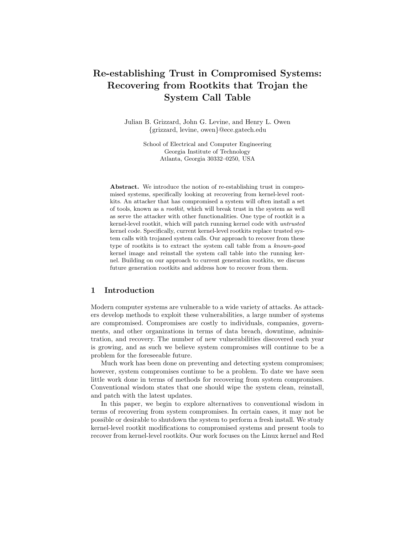# Re-establishing Trust in Compromised Systems: Recovering from Rootkits that Trojan the System Call Table

Julian B. Grizzard, John G. Levine, and Henry L. Owen {grizzard, levine, owen}@ece.gatech.edu

> School of Electrical and Computer Engineering Georgia Institute of Technology Atlanta, Georgia 30332–0250, USA

Abstract. We introduce the notion of re-establishing trust in compromised systems, specifically looking at recovering from kernel-level rootkits. An attacker that has compromised a system will often install a set of tools, known as a rootkit, which will break trust in the system as well as serve the attacker with other functionalities. One type of rootkit is a kernel-level rootkit, which will patch running kernel code with untrusted kernel code. Specifically, current kernel-level rootkits replace trusted system calls with trojaned system calls. Our approach to recover from these type of rootkits is to extract the system call table from a known-good kernel image and reinstall the system call table into the running kernel. Building on our approach to current generation rootkits, we discuss future generation rootkits and address how to recover from them.

## 1 Introduction

Modern computer systems are vulnerable to a wide variety of attacks. As attackers develop methods to exploit these vulnerabilities, a large number of systems are compromised. Compromises are costly to individuals, companies, governments, and other organizations in terms of data breach, downtime, administration, and recovery. The number of new vulnerabilities discovered each year is growing, and as such we believe system compromises will continue to be a problem for the foreseeable future.

Much work has been done on preventing and detecting system compromises; however, system compromises continue to be a problem. To date we have seen little work done in terms of methods for recovering from system compromises. Conventional wisdom states that one should wipe the system clean, reinstall, and patch with the latest updates.

In this paper, we begin to explore alternatives to conventional wisdom in terms of recovering from system compromises. In certain cases, it may not be possible or desirable to shutdown the system to perform a fresh install. We study kernel-level rootkit modifications to compromised systems and present tools to recover from kernel-level rootkits. Our work focuses on the Linux kernel and Red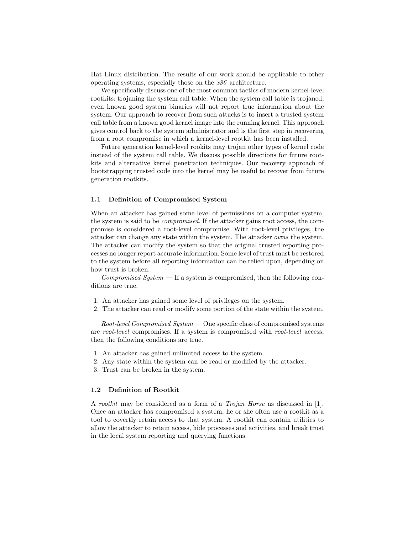Hat Linux distribution. The results of our work should be applicable to other operating systems, especially those on the x86 architecture.

We specifically discuss one of the most common tactics of modern kernel-level rootkits: trojaning the system call table. When the system call table is trojaned, even known good system binaries will not report true information about the system. Our approach to recover from such attacks is to insert a trusted system call table from a known good kernel image into the running kernel. This approach gives control back to the system administrator and is the first step in recovering from a root compromise in which a kernel-level rootkit has been installed.

Future generation kernel-level rookits may trojan other types of kernel code instead of the system call table. We discuss possible directions for future rootkits and alternative kernel penetration techniques. Our recovery approach of bootstrapping trusted code into the kernel may be useful to recover from future generation rootkits.

#### 1.1 Definition of Compromised System

When an attacker has gained some level of permissions on a computer system, the system is said to be compromised. If the attacker gains root access, the compromise is considered a root-level compromise. With root-level privileges, the attacker can change any state within the system. The attacker owns the system. The attacker can modify the system so that the original trusted reporting processes no longer report accurate information. Some level of trust must be restored to the system before all reporting information can be relied upon, depending on how trust is broken.

*Compromised System* — If a system is compromised, then the following conditions are true.

- 1. An attacker has gained some level of privileges on the system.
- 2. The attacker can read or modify some portion of the state within the system.

Root-level Compromised System — One specific class of compromised systems are root-level compromises. If a system is compromised with root-level access, then the following conditions are true.

- 1. An attacker has gained unlimited access to the system.
- 2. Any state within the system can be read or modified by the attacker.
- 3. Trust can be broken in the system.

#### 1.2 Definition of Rootkit

A rootkit may be considered as a form of a Trojan Horse as discussed in [1]. Once an attacker has compromised a system, he or she often use a rootkit as a tool to covertly retain access to that system. A rootkit can contain utilities to allow the attacker to retain access, hide processes and activities, and break trust in the local system reporting and querying functions.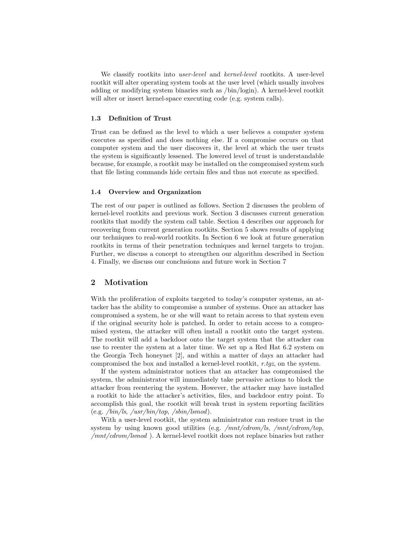We classify rootkits into *user-level* and *kernel-level* rootkits. A user-level rootkit will alter operating system tools at the user level (which usually involves adding or modifying system binaries such as /bin/login). A kernel-level rootkit will alter or insert kernel-space executing code (e.g. system calls).

#### 1.3 Definition of Trust

Trust can be defined as the level to which a user believes a computer system executes as specified and does nothing else. If a compromise occurs on that computer system and the user discovers it, the level at which the user trusts the system is significantly lessened. The lowered level of trust is understandable because, for example, a rootkit may be installed on the compromised system such that file listing commands hide certain files and thus not execute as specified.

#### 1.4 Overview and Organization

The rest of our paper is outlined as follows. Section 2 discusses the problem of kernel-level rootkits and previous work. Section 3 discusses current generation rootkits that modify the system call table. Section 4 describes our approach for recovering from current generation rootkits. Section 5 shows results of applying our techniques to real-world rootkits. In Section 6 we look at future generation rootkits in terms of their penetration techniques and kernel targets to trojan. Further, we discuss a concept to strengthen our algorithm described in Section 4. Finally, we discuss our conclusions and future work in Section 7

# 2 Motivation

With the proliferation of exploits targeted to today's computer systems, an attacker has the ability to compromise a number of systems. Once an attacker has compromised a system, he or she will want to retain access to that system even if the original security hole is patched. In order to retain access to a compromised system, the attacker will often install a rootkit onto the target system. The rootkit will add a backdoor onto the target system that the attacker can use to reenter the system at a later time. We set up a Red Hat 6.2 system on the Georgia Tech honeynet [2], and within a matter of days an attacker had compromised the box and installed a kernel-level rootkit, r.tgz, on the system.

If the system administrator notices that an attacker has compromised the system, the administrator will immediately take pervasive actions to block the attacker from reentering the system. However, the attacker may have installed a rootkit to hide the attacker's activities, files, and backdoor entry point. To accomplish this goal, the rootkit will break trust in system reporting facilities  $(e.g. /bin/ls, /usr/bin/top, /skin/lsmod).$ 

With a user-level rootkit, the system administrator can restore trust in the system by using known good utilities (e.g.  $/mnt/cdrom/ls$ , /mnt/cdrom/top,  $\emph{/mnt/cdrom/lsmod}$  ). A kernel-level rootkit does not replace binaries but rather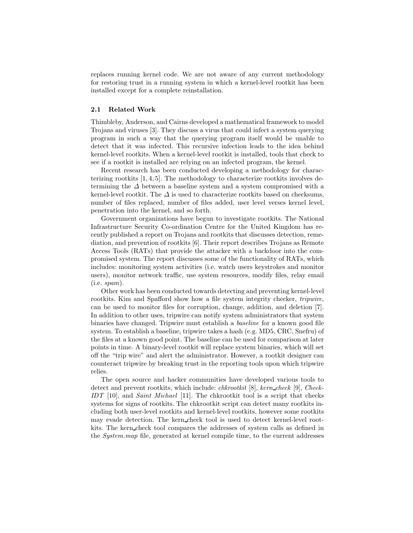replaces running kernel code. We are not aware of any current methodology for restoring trust in a running system in which a kernel-level rootkit has been installed except for a complete reinstallation.

#### 2.1 Related Work

Thimbleby, Anderson, and Cairns developed a mathematical framework to model Trojans and viruses [3]. They discuss a virus that could infect a system querying program in such a way that the querying program itself would be unable to detect that it was infected. This recursive infection leads to the idea behind kernel-level rootkits. When a kernel-level rootkit is installed, tools that check to see if a rootkit is installed are relying on an infected program, the kernel.

Recent research has been conducted developing a methodology for characterizing rootkits [1, 4, 5]. The methodology to characterize rootkits involves determining the ∆ between a baseline system and a system compromised with a kernel-level rootkit. The  $\Delta$  is used to characterize rootkits based on checksums, number of files replaced, number of files added, user level verses kernel level, penetration into the kernel, and so forth.

Government organizations have begun to investigate rootkits. The National Infrastructure Security Co-ordination Centre for the United Kingdom has recently published a report on Trojans and rootkits that discusses detection, remediation, and prevention of rootkits [6]. Their report describes Trojans as Remote Access Tools (RATs) that provide the attacker with a backdoor into the compromised system. The report discusses some of the functionality of RATs, which includes: monitoring system activities (i.e. watch users keystrokes and monitor users), monitor network traffic, use system resources, modify files, relay email  $(i.e. spam)$ .

Other work has been conducted towards detecting and preventing kernel-level rootkits. Kim and Spafford show how a file system integrity checker, tripwire, can be used to monitor files for corruption, change, addition, and deletion [7]. In addition to other uses, tripwire can notify system administrators that system binaries have changed. Tripwire must establish a baseline for a known good file system. To establish a baseline, tripwire takes a hash (e.g. MD5, CRC, Snefru) of the files at a known good point. The baseline can be used for comparison at later points in time. A binary-level rootkit will replace system binaries, which will set off the "trip wire" and alert the administrator. However, a rootkit designer can counteract tripwire by breaking trust in the reporting tools upon which tripwire relies.

The open source and hacker communities have developed various tools to detect and prevent rootkits, which include: *chkrootkit* [8], *kern\_check* [9], *Check*-IDT [10], and Saint Michael [11]. The chkrootkit tool is a script that checks systems for signs of rootkits. The chkrootkit script can detect many rootkits including both user-level rootkits and kernel-level rootkits, however some rootkits may evade detection. The kern check tool is used to detect kernel-level rootkits. The kern check tool compares the addresses of system calls as defined in the System.map file, generated at kernel compile time, to the current addresses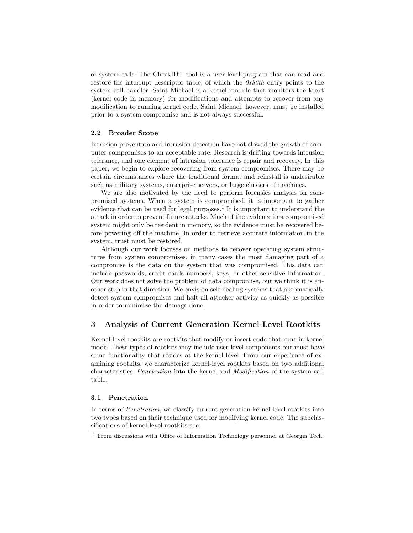of system calls. The CheckIDT tool is a user-level program that can read and restore the interrupt descriptor table, of which the  $\theta x 80$ th entry points to the system call handler. Saint Michael is a kernel module that monitors the ktext (kernel code in memory) for modifications and attempts to recover from any modification to running kernel code. Saint Michael, however, must be installed prior to a system compromise and is not always successful.

#### 2.2 Broader Scope

Intrusion prevention and intrusion detection have not slowed the growth of computer compromises to an acceptable rate. Research is drifting towards intrusion tolerance, and one element of intrusion tolerance is repair and recovery. In this paper, we begin to explore recovering from system compromises. There may be certain circumstances where the traditional format and reinstall is undesirable such as military systems, enterprise servers, or large clusters of machines.

We are also motivated by the need to perform forensics analysis on compromised systems. When a system is compromised, it is important to gather evidence that can be used for legal purposes.<sup>1</sup> It is important to understand the attack in order to prevent future attacks. Much of the evidence in a compromised system might only be resident in memory, so the evidence must be recovered before powering off the machine. In order to retrieve accurate information in the system, trust must be restored.

Although our work focuses on methods to recover operating system structures from system compromises, in many cases the most damaging part of a compromise is the data on the system that was compromised. This data can include passwords, credit cards numbers, keys, or other sensitive information. Our work does not solve the problem of data compromise, but we think it is another step in that direction. We envision self-healing systems that automatically detect system compromises and halt all attacker activity as quickly as possible in order to minimize the damage done.

# 3 Analysis of Current Generation Kernel-Level Rootkits

Kernel-level rootkits are rootkits that modify or insert code that runs in kernel mode. These types of rootkits may include user-level components but must have some functionality that resides at the kernel level. From our experience of examining rootkits, we characterize kernel-level rootkits based on two additional characteristics: Penetration into the kernel and Modification of the system call table.

#### 3.1 Penetration

In terms of Penetration, we classify current generation kernel-level rootkits into two types based on their technique used for modifying kernel code. The subclassifications of kernel-level rootkits are:

<sup>1</sup> From discussions with Office of Information Technology personnel at Georgia Tech.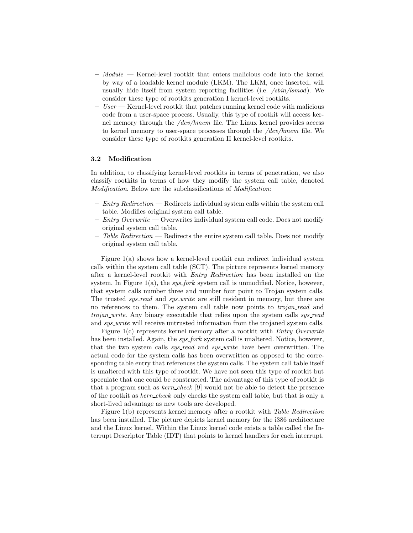- Module Kernel-level rootkit that enters malicious code into the kernel by way of a loadable kernel module (LKM). The LKM, once inserted, will usually hide itself from system reporting facilities (i.e.  $\sqrt{\textit{skin}}$ ). We consider these type of rootkits generation I kernel-level rootkits.
- $User$  Kernel-level rootkit that patches running kernel code with malicious code from a user-space process. Usually, this type of rootkit will access kernel memory through the /dev/kmem file. The Linux kernel provides access to kernel memory to user-space processes through the  $/dev/kmem$  file. We consider these type of rootkits generation II kernel-level rootkits.

## 3.2 Modification

In addition, to classifying kernel-level rootkits in terms of penetration, we also classify rootkits in terms of how they modify the system call table, denoted Modification. Below are the subclassifications of Modification:

- Entry Redirection Redirects individual system calls within the system call table. Modifies original system call table.
- $-$  Entry Overwrite Overwrites individual system call code. Does not modify original system call table.
- $-$  Table Redirection  $-$  Redirects the entire system call table. Does not modify original system call table.

Figure 1(a) shows how a kernel-level rootkit can redirect individual system calls within the system call table (SCT). The picture represents kernel memory after a kernel-level rootkit with Entry Redirection has been installed on the system. In Figure  $1(a)$ , the *sys\_fork* system call is unmodified. Notice, however, that system calls number three and number four point to Trojan system calls. The trusted *sys\_read* and *sys\_write* are still resident in memory, but there are no references to them. The system call table now points to *trojan\_read* and trojan write. Any binary executable that relies upon the system calls system and *sys\_write* will receive untrusted information from the trojaned system calls.

Figure 1(c) represents kernel memory after a rootkit with *Entry Overwrite* has been installed. Again, the *sys fork* system call is unaltered. Notice, however, that the two system calls sys\_read and sys\_write have been overwritten. The actual code for the system calls has been overwritten as opposed to the corresponding table entry that references the system calls. The system call table itself is unaltered with this type of rootkit. We have not seen this type of rootkit but speculate that one could be constructed. The advantage of this type of rootkit is that a program such as kern check [9] would not be able to detect the presence of the rootkit as kern check only checks the system call table, but that is only a short-lived advantage as new tools are developed.

Figure 1(b) represents kernel memory after a rootkit with Table Redirection has been installed. The picture depicts kernel memory for the i386 architecture and the Linux kernel. Within the Linux kernel code exists a table called the Interrupt Descriptor Table (IDT) that points to kernel handlers for each interrupt.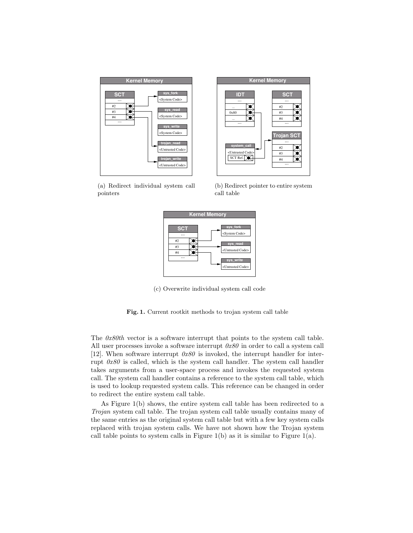

(a) Redirect individual system call pointers



(b) Redirect pointer to entire system call table



(c) Overwrite individual system call code

Fig. 1. Current rootkit methods to trojan system call table

The  $0x80th$  vector is a software interrupt that points to the system call table. All user processes invoke a software interrupt 0x80 in order to call a system call [12]. When software interrupt  $0x80$  is invoked, the interrupt handler for interrupt  $0x80$  is called, which is the system call handler. The system call handler takes arguments from a user-space process and invokes the requested system call. The system call handler contains a reference to the system call table, which is used to lookup requested system calls. This reference can be changed in order to redirect the entire system call table.

As Figure 1(b) shows, the entire system call table has been redirected to a Trojan system call table. The trojan system call table usually contains many of the same entries as the original system call table but with a few key system calls replaced with trojan system calls. We have not shown how the Trojan system call table points to system calls in Figure 1(b) as it is similar to Figure 1(a).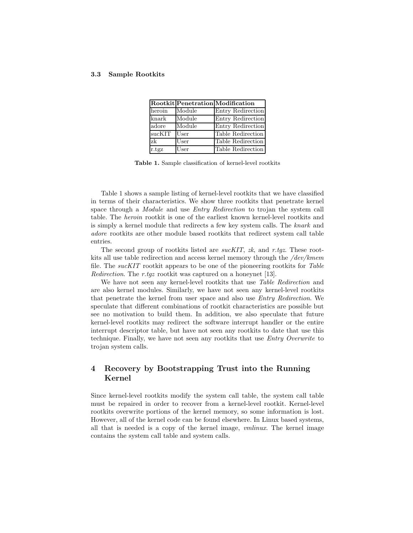## 3.3 Sample Rootkits

|             |        | Rootkit Penetration Modification |
|-------------|--------|----------------------------------|
| heroin      | Module | Entry Redirection                |
| $k$ nar $k$ | Module | <b>Entry Redirection</b>         |
| adore       | Module | Entry Redirection                |
| sucKIT      | User   | Table Redirection                |
| zk          | User   | Table Redirection                |
| r.tgz       | User   | Table Redirection                |

Table 1. Sample classification of kernel-level rootkits

Table 1 shows a sample listing of kernel-level rootkits that we have classified in terms of their characteristics. We show three rootkits that penetrate kernel space through a *Module* and use *Entry Redirection* to trojan the system call table. The heroin rootkit is one of the earliest known kernel-level rootkits and is simply a kernel module that redirects a few key system calls. The knark and adore rootkits are other module based rootkits that redirect system call table entries.

The second group of rootkits listed are sucKIT,  $zk$ , and  $r.tqz$ . These rootkits all use table redirection and access kernel memory through the  $/dev/kmem$ file. The sucKIT rootkit appears to be one of the pioneering rootkits for Table Redirection. The r.tgz rootkit was captured on a honeynet [13].

We have not seen any kernel-level rootkits that use Table Redirection and are also kernel modules. Similarly, we have not seen any kernel-level rootkits that penetrate the kernel from user space and also use Entry Redirection. We speculate that different combinations of rootkit characteristics are possible but see no motivation to build them. In addition, we also speculate that future kernel-level rootkits may redirect the software interrupt handler or the entire interrupt descriptor table, but have not seen any rootkits to date that use this technique. Finally, we have not seen any rootkits that use Entry Overwrite to trojan system calls.

# 4 Recovery by Bootstrapping Trust into the Running Kernel

Since kernel-level rootkits modify the system call table, the system call table must be repaired in order to recover from a kernel-level rootkit. Kernel-level rootkits overwrite portions of the kernel memory, so some information is lost. However, all of the kernel code can be found elsewhere. In Linux based systems, all that is needed is a copy of the kernel image, vmlinux. The kernel image contains the system call table and system calls.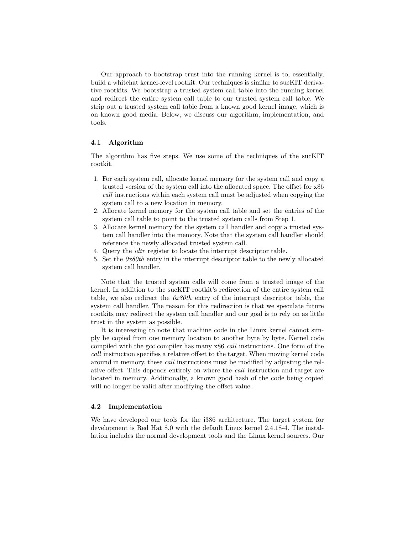Our approach to bootstrap trust into the running kernel is to, essentially, build a whitehat kernel-level rootkit. Our techniques is similar to sucKIT derivative rootkits. We bootstrap a trusted system call table into the running kernel and redirect the entire system call table to our trusted system call table. We strip out a trusted system call table from a known good kernel image, which is on known good media. Below, we discuss our algorithm, implementation, and tools.

## 4.1 Algorithm

The algorithm has five steps. We use some of the techniques of the sucKIT rootkit.

- 1. For each system call, allocate kernel memory for the system call and copy a trusted version of the system call into the allocated space. The offset for x86 call instructions within each system call must be adjusted when copying the system call to a new location in memory.
- 2. Allocate kernel memory for the system call table and set the entries of the system call table to point to the trusted system calls from Step 1.
- 3. Allocate kernel memory for the system call handler and copy a trusted system call handler into the memory. Note that the system call handler should reference the newly allocated trusted system call.
- 4. Query the idtr register to locate the interrupt descriptor table.
- 5. Set the  $0x80th$  entry in the interrupt descriptor table to the newly allocated system call handler.

Note that the trusted system calls will come from a trusted image of the kernel. In addition to the sucKIT rootkit's redirection of the entire system call table, we also redirect the  $0x80th$  entry of the interrupt descriptor table, the system call handler. The reason for this redirection is that we speculate future rootkits may redirect the system call handler and our goal is to rely on as little trust in the system as possible.

It is interesting to note that machine code in the Linux kernel cannot simply be copied from one memory location to another byte by byte. Kernel code compiled with the gcc compiler has many x86 call instructions. One form of the call instruction specifies a relative offset to the target. When moving kernel code around in memory, these call instructions must be modified by adjusting the relative offset. This depends entirely on where the call instruction and target are located in memory. Additionally, a known good hash of the code being copied will no longer be valid after modifying the offset value.

#### 4.2 Implementation

We have developed our tools for the i386 architecture. The target system for development is Red Hat 8.0 with the default Linux kernel 2.4.18-4. The installation includes the normal development tools and the Linux kernel sources. Our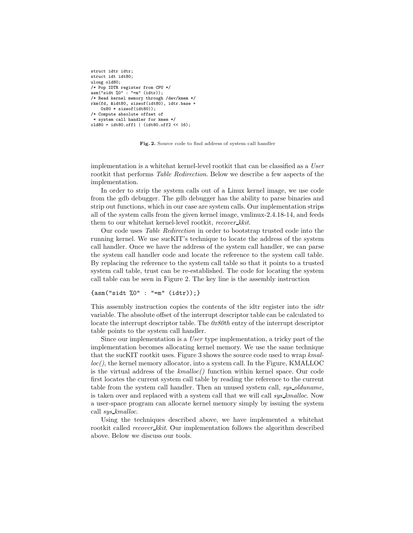```
struct idtr idtr;
struct idt idt80;
ulong old80;
/* Pop IDTR register from CPU */
asm("sidt %0" : "=m" (idtr));
/* Read kernel memory through /dev/kmem */
rkm(fd, &idt80, sizeof(idt80), idtr.base +
   0x80 * sizeof(idt80));/* Compute absolute offset of
 * system call handler for kmem */
old80 = idt80.off1 | (idt80.off2 << 16);
```
Fig. 2. Source code to find address of system call handler

implementation is a whitehat kernel-level rootkit that can be classified as a User rootkit that performs Table Redirection. Below we describe a few aspects of the implementation.

In order to strip the system calls out of a Linux kernel image, we use code from the gdb debugger. The gdb debugger has the ability to parse binaries and strip out functions, which in our case are system calls. Our implementation strips all of the system calls from the given kernel image, vmlinux-2.4.18-14, and feeds them to our whitehat kernel-level rootkit, recover\_kkit.

Our code uses Table Redirection in order to bootstrap trusted code into the running kernel. We use sucKIT's technique to locate the address of the system call handler. Once we have the address of the system call handler, we can parse the system call handler code and locate the reference to the system call table. By replacing the reference to the system call table so that it points to a trusted system call table, trust can be re-established. The code for locating the system call table can be seen in Figure 2. The key line is the assembly instruction

## {asm("sidt %0" : "=m" (idtr));}

This assembly instruction copies the contents of the idtr register into the *idtr* variable. The absolute offset of the interrupt descriptor table can be calculated to locate the interrupt descriptor table. The 0x80th entry of the interrupt descriptor table points to the system call handler.

Since our implementation is a User type implementation, a tricky part of the implementation becomes allocating kernel memory. We use the same technique that the sucKIT rootkit uses. Figure 3 shows the source code used to wrap kmalloc(), the kernel memory allocator, into a system call. In the Figure, KMALLOC is the virtual address of the  $kmalloc()$  function within kernel space. Our code first locates the current system call table by reading the reference to the current table from the system call handler. Then an unused system call, sys\_olduname, is taken over and replaced with a system call that we will call sys\_kmalloc. Now a user-space program can allocate kernel memory simply by issuing the system call sys kmalloc.

Using the techniques described above, we have implemented a whitehat rootkit called *recover\_kkit*. Our implementation follows the algorithm described above. Below we discuss our tools.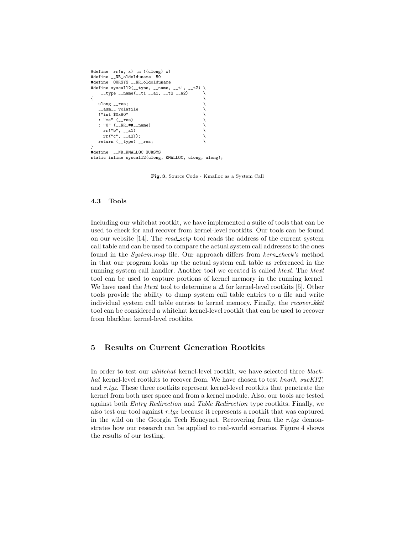```
#define rr(n, x), n ((ulong) x)
#define __NR_oldolduname 59
#define OURSYS __NR_oldolduname
#define syscall2(__type, __name, __t1, __t2) \
      _{--}type _{--}name(_{-}t1 _{--}a1, _{--}t2 _{--}a2)
\{ \qquad \qquad \qquad \qquad \qquad \qquad \qquad \qquad \qquad \qquad \qquad \qquad \qquad \qquad \qquad \qquad \qquad \qquad \qquad \qquad \qquad \qquad \qquad \qquad \qquad \qquad \qquad \qquad \qquad \qquad \qquad \qquad \qquad \qquad \qquad \qquad \qquad 
     ulong __res; \
       asm volatile
     T = 100 - 100<br>("int $0x80"
      : "=a" (__res) \
     : "0" (<sub>-</sub>NR<sub>-</sub>##<sub>--</sub>name)
        rr("b", -a1)rr("c", -a2));return (__type) __res; \
}
#define __NR_KMALLOC OURSYS
static inline syscall2(ulong, KMALLOC, ulong, ulong);
```
Fig. 3. Source Code - Kmalloc as a System Call

#### 4.3 Tools

Including our whitehat rootkit, we have implemented a suite of tools that can be used to check for and recover from kernel-level rootkits. Our tools can be found on our website [14]. The read sctp tool reads the address of the current system call table and can be used to compare the actual system call addresses to the ones found in the *System.map* file. Our approach differs from kern check's method in that our program looks up the actual system call table as referenced in the running system call handler. Another tool we created is called ktext. The ktext tool can be used to capture portions of kernel memory in the running kernel. We have used the *ktext* tool to determine a  $\Delta$  for kernel-level rootkits [5]. Other tools provide the ability to dump system call table entries to a file and write individual system call table entries to kernel memory. Finally, the recover kkit tool can be considered a whitehat kernel-level rootkit that can be used to recover from blackhat kernel-level rootkits.

# 5 Results on Current Generation Rootkits

In order to test our *whitehat* kernel-level rootkit, we have selected three *black*hat kernel-level rootkits to recover from. We have chosen to test knark, sucKIT, and r.tgz. These three rootkits represent kernel-level rootkits that penetrate the kernel from both user space and from a kernel module. Also, our tools are tested against both Entry Redirection and Table Redirection type rootkits. Finally, we also test our tool against r.tgz because it represents a rootkit that was captured in the wild on the Georgia Tech Honeynet. Recovering from the  $r.tgz$  demonstrates how our research can be applied to real-world scenarios. Figure 4 shows the results of our testing.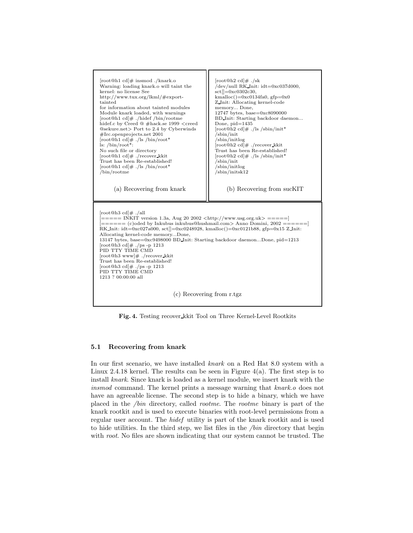

Fig. 4. Testing recover kkit Tool on Three Kernel-Level Rootkits

#### 5.1 Recovering from knark

In our first scenario, we have installed knark on a Red Hat 8.0 system with a Linux 2.4.18 kernel. The results can be seen in Figure  $4(a)$ . The first step is to install knark. Since knark is loaded as a kernel module, we insert knark with the insmod command. The kernel prints a message warning that knark.o does not have an agreeable license. The second step is to hide a binary, which we have placed in the /bin directory, called rootme. The rootme binary is part of the knark rootkit and is used to execute binaries with root-level permissions from a regular user account. The hidef utility is part of the knark rootkit and is used to hide utilities. In the third step, we list files in the  $\sin$  directory that begin with *root*. No files are shown indicating that our system cannot be trusted. The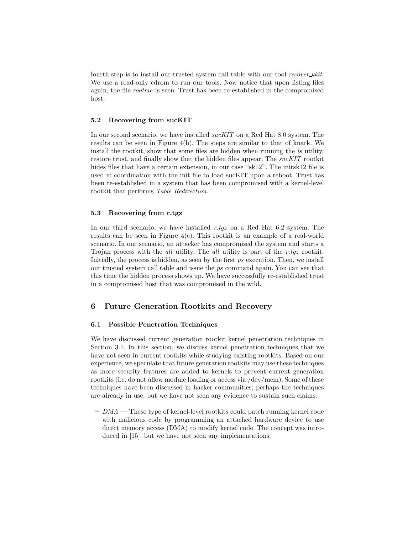fourth step is to install our trusted system call table with our tool *recover\_kkit*. We use a read-only cdrom to run our tools. Now notice that upon listing files again, the file rootme is seen. Trust has been re-established in the compromised host.

#### 5.2 Recovering from sucKIT

In our second scenario, we have installed *sucKIT* on a Red Hat 8.0 system. The results can be seen in Figure 4(b). The steps are similar to that of knark. We install the rootkit, show that some files are hidden when running the ls utility, restore trust, and finally show that the hidden files appear. The sucKIT rootkit hides files that have a certain extension, in our case "sk12". The initsk12 file is used in coordination with the init file to load sucKIT upon a reboot. Trust has been re-established in a system that has been compromised with a kernel-level rootkit that performs Table Redirection.

#### 5.3 Recovering from r.tgz

In our third scenario, we have installed r.tgz on a Red Hat  $6.2$  system. The results can be seen in Figure  $4(c)$ . This rootkit is an example of a real-world scenario. In our scenario, an attacker has compromised the system and starts a Trojan process with the *all* utility. The *all* utility is part of the r.tgz rootkit. Initially, the process is hidden, as seen by the first ps execution. Then, we install our trusted system call table and issue the ps command again. You can see that this time the hidden process shows up. We have successfully re-established trust in a compromised host that was compromised in the wild.

## 6 Future Generation Rootkits and Recovery

#### 6.1 Possible Penetration Techniques

We have discussed current generation rootkit kernel penetration techniques in Section 3.1. In this section, we discuss kernel penetration techniques that we have not seen in current rootkits while studying existing rootkits. Based on our experience, we speculate that future generation rootkits may use these techniques as more security features are added to kernels to prevent current generation rootkits (i.e. do not allow module loading or access via /dev/mem). Some of these techniques have been discussed in hacker communities; perhaps the techniques are already in use, but we have not seen any evidence to sustain such claims.

 $-$  DMA — These type of kernel-level rootkits could patch running kernel code with malicious code by programming an attached hardware device to use direct memory access (DMA) to modify kernel code. The concept was introduced in [15], but we have not seen any implementations.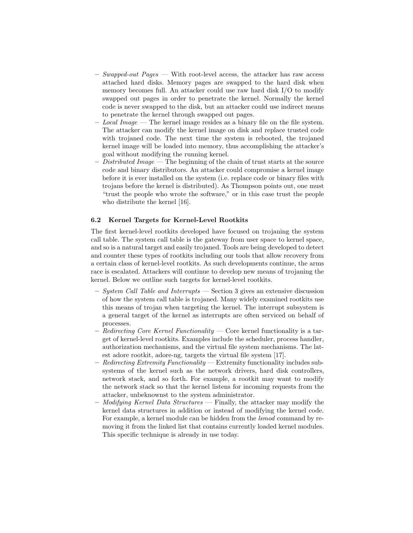- Swapped-out Pages With root-level access, the attacker has raw access attached hard disks. Memory pages are swapped to the hard disk when memory becomes full. An attacker could use raw hard disk I/O to modify swapped out pages in order to penetrate the kernel. Normally the kernel code is never swapped to the disk, but an attacker could use indirect means to penetrate the kernel through swapped out pages.
- $-$  Local Image  $-$  The kernel image resides as a binary file on the file system. The attacker can modify the kernel image on disk and replace trusted code with trojaned code. The next time the system is rebooted, the trojaned kernel image will be loaded into memory, thus accomplishing the attacker's goal without modifying the running kernel.
- $-$  Distributed Image  $-$  The beginning of the chain of trust starts at the source code and binary distributors. An attacker could compromise a kernel image before it is ever installed on the system (i.e. replace code or binary files with trojans before the kernel is distributed). As Thompson points out, one must "trust the people who wrote the software," or in this case trust the people who distribute the kernel [16].

## 6.2 Kernel Targets for Kernel-Level Rootkits

The first kernel-level rootkits developed have focused on trojaning the system call table. The system call table is the gateway from user space to kernel space, and so is a natural target and easily trojaned. Tools are being developed to detect and counter these types of rootkits including our tools that allow recovery from a certain class of kernel-level rootkits. As such developments continue, the arms race is escalated. Attackers will continue to develop new means of trojaning the kernel. Below we outline such targets for kernel-level rootkits.

- $-$  System Call Table and Interrupts  $-$  Section 3 gives an extensive discussion of how the system call table is trojaned. Many widely examined rootkits use this means of trojan when targeting the kernel. The interrupt subsystem is a general target of the kernel as interrupts are often serviced on behalf of processes.
- $-$  Redirecting Core Kernel Functionality  $-$  Core kernel functionality is a target of kernel-level rootkits. Examples include the scheduler, process handler, authorization mechanisms, and the virtual file system mechanisms. The latest adore rootkit, adore-ng, targets the virtual file system [17].
- Redirecting Extremity Functionality Extremity functionality includes subsystems of the kernel such as the network drivers, hard disk controllers, network stack, and so forth. For example, a rootkit may want to modify the network stack so that the kernel listens for incoming requests from the attacker, unbeknownst to the system administrator.
- Modifying Kernel Data Structures Finally, the attacker may modify the kernel data structures in addition or instead of modifying the kernel code. For example, a kernel module can be hidden from the lsmod command by removing it from the linked list that contains currently loaded kernel modules. This specific technique is already in use today.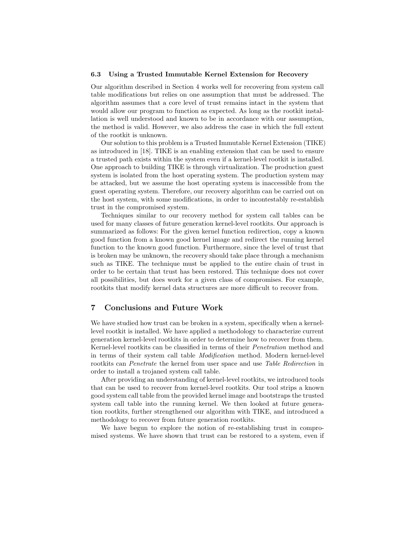#### 6.3 Using a Trusted Immutable Kernel Extension for Recovery

Our algorithm described in Section 4 works well for recovering from system call table modifications but relies on one assumption that must be addressed. The algorithm assumes that a core level of trust remains intact in the system that would allow our program to function as expected. As long as the rootkit installation is well understood and known to be in accordance with our assumption, the method is valid. However, we also address the case in which the full extent of the rootkit is unknown.

Our solution to this problem is a Trusted Immutable Kernel Extension (TIKE) as introduced in [18]. TIKE is an enabling extension that can be used to ensure a trusted path exists within the system even if a kernel-level rootkit is installed. One approach to building TIKE is through virtualization. The production guest system is isolated from the host operating system. The production system may be attacked, but we assume the host operating system is inaccessible from the guest operating system. Therefore, our recovery algorithm can be carried out on the host system, with some modifications, in order to incontestably re-establish trust in the compromised system.

Techniques similar to our recovery method for system call tables can be used for many classes of future generation kernel-level rootkits. Our approach is summarized as follows: For the given kernel function redirection, copy a known good function from a known good kernel image and redirect the running kernel function to the known good function. Furthermore, since the level of trust that is broken may be unknown, the recovery should take place through a mechanism such as TIKE. The technique must be applied to the entire chain of trust in order to be certain that trust has been restored. This technique does not cover all possibilities, but does work for a given class of compromises. For example, rootkits that modify kernel data structures are more difficult to recover from.

# 7 Conclusions and Future Work

We have studied how trust can be broken in a system, specifically when a kernellevel rootkit is installed. We have applied a methodology to characterize current generation kernel-level rootkits in order to determine how to recover from them. Kernel-level rootkits can be classified in terms of their Penetration method and in terms of their system call table Modification method. Modern kernel-level rootkits can Penetrate the kernel from user space and use Table Redirection in order to install a trojaned system call table.

After providing an understanding of kernel-level rootkits, we introduced tools that can be used to recover from kernel-level rootkits. Our tool strips a known good system call table from the provided kernel image and bootstraps the trusted system call table into the running kernel. We then looked at future generation rootkits, further strengthened our algorithm with TIKE, and introduced a methodology to recover from future generation rootkits.

We have begun to explore the notion of re-establishing trust in compromised systems. We have shown that trust can be restored to a system, even if